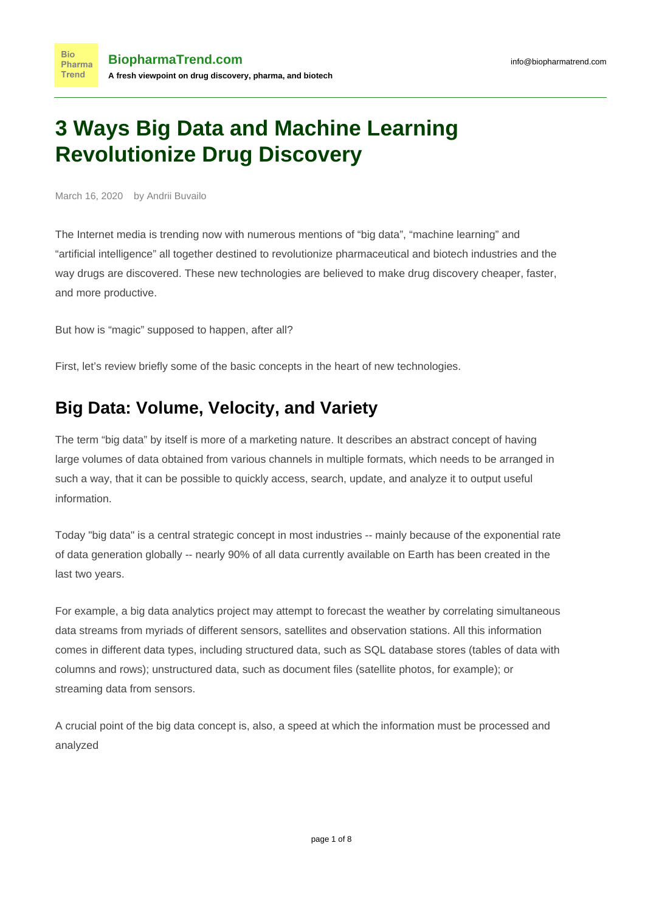# **3 Ways Big Data and Machine Learning Revolutionize Drug Discovery**

March 16, 2020 by Andrii Buvailo

**Bio** 

The Internet media is trending now with numerous mentions of "big data", "machine learning" and "artificial intelligence" all together destined to revolutionize pharmaceutical and biotech industries and the way drugs are discovered. These new technologies are believed to make drug discovery cheaper, faster, and more productive.

But how is "magic" supposed to happen, after all?

First, let's review briefly some of the basic concepts in the heart of new technologies.

### **Big Data: Volume, Velocity, and Variety**

The term "big data" by itself is more of a marketing nature. It describes an abstract concept of having large volumes of data obtained from various channels in multiple formats, which needs to be arranged in such a way, that it can be possible to quickly access, search, update, and analyze it to output useful information.

Today "big data" is a central strategic concept in most industries -- mainly because of the exponential rate of data generation globally -- [nearly 90% of all data currently available on Earth has been created in the](https://kommandotech.com/statistics/big-data-statistics/) [last two years](https://kommandotech.com/statistics/big-data-statistics/).

For example, a big data analytics project may attempt to forecast the weather by correlating simultaneous data streams from myriads of different sensors, satellites and observation stations. All this information comes in different data types, including structured data, such as SQL database stores (tables of data with columns and rows); unstructured data, such as document files (satellite photos, for example); or streaming data from sensors.

A crucial point of the big data concept is, also, a speed at which the information must be processed and analyzed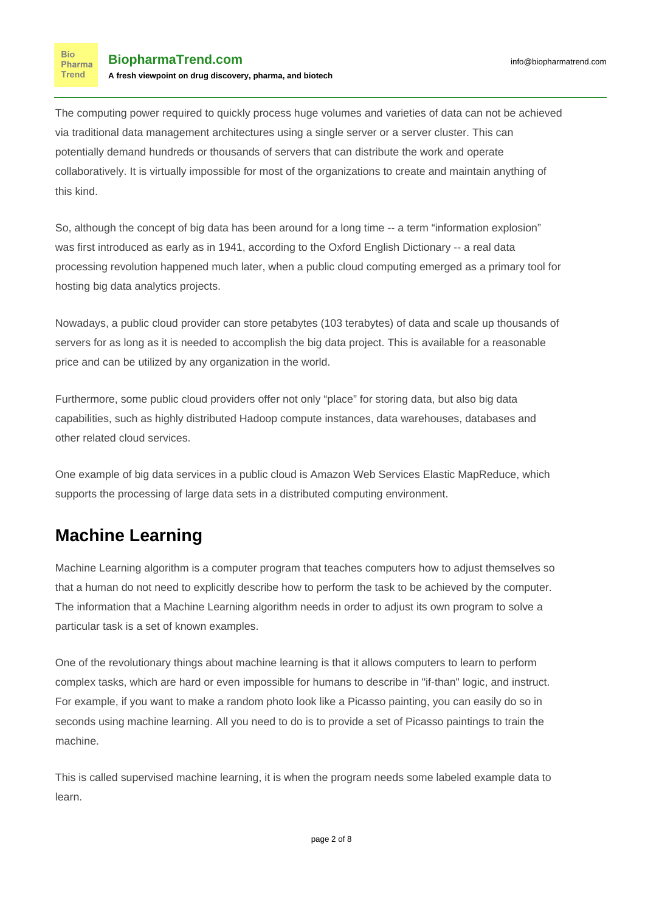The computing power required to quickly process huge volumes and varieties of data can not be achieved via traditional data management architectures using a single server or a [server cluster.](http://searchexchange.techtarget.com/definition/cluster) This can potentially demand hundreds or thousands of servers that can distribute the work and operate collaboratively. It is virtually impossible for most of the organizations to create and maintain anything of this kind.

So, although the concept of big data has been around for a long time -- a term "information explosion" was first introduced as early as in 1941, according to the Oxford English Dictionary -- a real data processing revolution happened much later, when a [public cloud computing](http://searchcloudcomputing.techtarget.com/definition/public-cloud) emerged as a primary tool for hosting big data analytics projects.

Nowadays, a public cloud provider can store petabytes (103 terabytes) of data and scale up thousands of servers for as long as it is needed to accomplish the big data project. This is available for a reasonable price and can be utilized by any organization in the world.

Furthermore, some public cloud providers offer not only "place" for storing data, but also big data capabilities, such as highly distributed Hadoop compute instances, [data warehouses,](http://searchsqlserver.techtarget.com/definition/data-warehouse) databases and other related cloud services.

One example of big data services in a public cloud is [Amazon Web Services Elastic MapReduce,](http://searchaws.techtarget.com/definition/Amazon-Elastic-MapReduce-Amazon-EMR) which supports the processing of large data sets in a distributed computing environment.

### **Machine Learning**

Machine Learning algorithm is a computer program that teaches computers how to adjust themselves so that a human do not need to explicitly describe how to perform the task to be achieved by the computer. The information that a Machine Learning algorithm needs in order to adjust its own program to solve a particular task is a set of known examples.

One of the revolutionary things about machine learning is that it allows computers to learn to perform complex tasks, which are hard or even impossible for humans to describe in "if-than" logic, and instruct. For example, if you want to make a random photo look like a Picasso painting, you can easily [do so](https://predictors.ai/#/p/Artificial_Intelligence_Painter) in seconds using machine learning. All you need to do is to provide a set of Picasso paintings to train the machine.

This is called supervised machine learning, it is when the program needs some labeled example data to learn.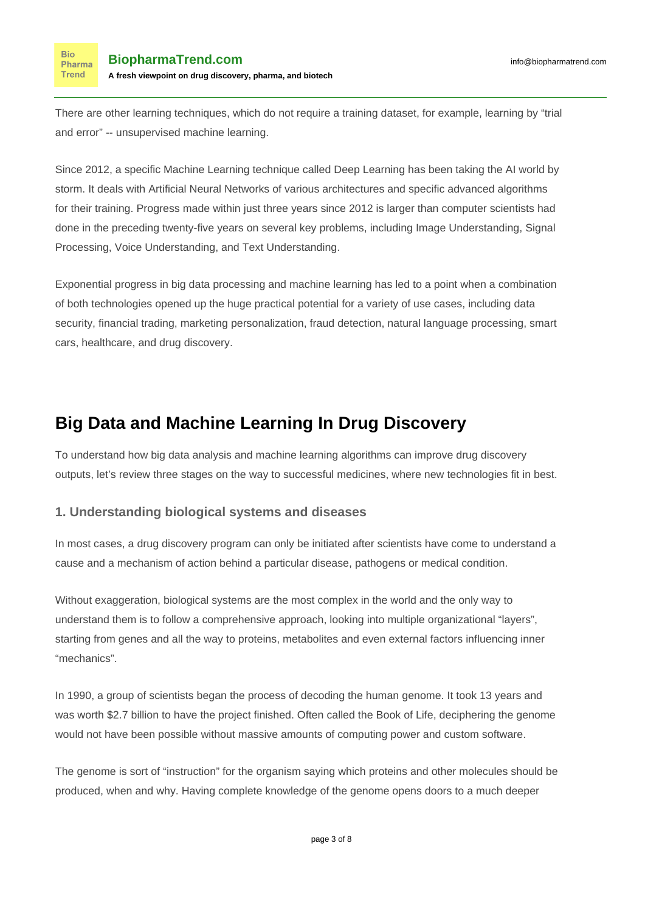There are other learning techniques, which do not require a training dataset, for example, learning by "trial and error" -- unsupervised machine learning.

Since 2012, a specific Machine Learning technique called Deep Learning has been taking the AI world by storm. It deals with [Artificial Neural Networks](https://en.wikipedia.org/wiki/Artificial_neural_network) of various architectures and specific advanced algorithms for their training. Progress made within just three years since 2012 is larger than computer scientists had done in the preceding twenty-five years on several key problems, including Image Understanding, Signal Processing, Voice Understanding, and Text Understanding.

Exponential progress in big data processing and machine learning has led to a point when a combination of both technologies opened up the huge practical potential for a variety of use cases, including data security, financial trading, marketing personalization, fraud detection, natural language processing, smart cars, healthcare, and drug discovery.

## **Big Data and Machine Learning In Drug Discovery**

To understand how big data analysis and machine learning algorithms can improve drug discovery outputs, let's review three stages on the way to successful medicines, where new technologies fit in best.

### **1. Understanding biological systems and diseases**

In most cases, a drug discovery program can only be initiated after scientists have come to understand a cause and a mechanism of action behind a particular disease, pathogens or medical condition.

Without exaggeration, biological systems are the most complex in the world and the only way to understand them is to follow a comprehensive approach, looking into multiple organizational "layers", starting from genes and all the way to proteins, metabolites and even external factors influencing inner "mechanics".

In 1990, a group of scientists began the [process of decoding](http://mandrillapp.com/track/click/30905169/www.genome.gov?p=eyJzIjoiblFEa09jZFJsRktLX2tlbC14enJwRVZzZ1V3IiwidiI6MSwicCI6IntcInVcIjozMDkwNTE2OSxcInZcIjoxLFwidXJsXCI6XCJodHRwczpcXFwvXFxcL3d3dy5nZW5vbWUuZ292XFxcLzEwMDAxNzcyXFxcL2FsbC1hYm91dC10aGUtLWh1bWFuLWdlbm9tZS1wcm9qZWN0LWhncFxcXC9cIixcImlkXCI6XCIzNDBiZjBiYjQ0Njk0NDUxYThmNmU5ZTE3OTdiNzBlY1wiLFwidXJsX2lkc1wiOltcIjhiMzU3MTcxOTQ3NWVlMGIxMDNhNjI1N2RlNjM5NjgzMTBiMzZhMTZcIl19In0) the human genome. It took 13 years and was worth \$2.7 billion to have the project finished. Often called the Book of Life, deciphering the genome would not have been possible without massive amounts of computing power and custom software.

The genome is sort of "instruction" for the organism saying which proteins and other molecules should be produced, when and why. Having complete knowledge of the genome opens doors to a much deeper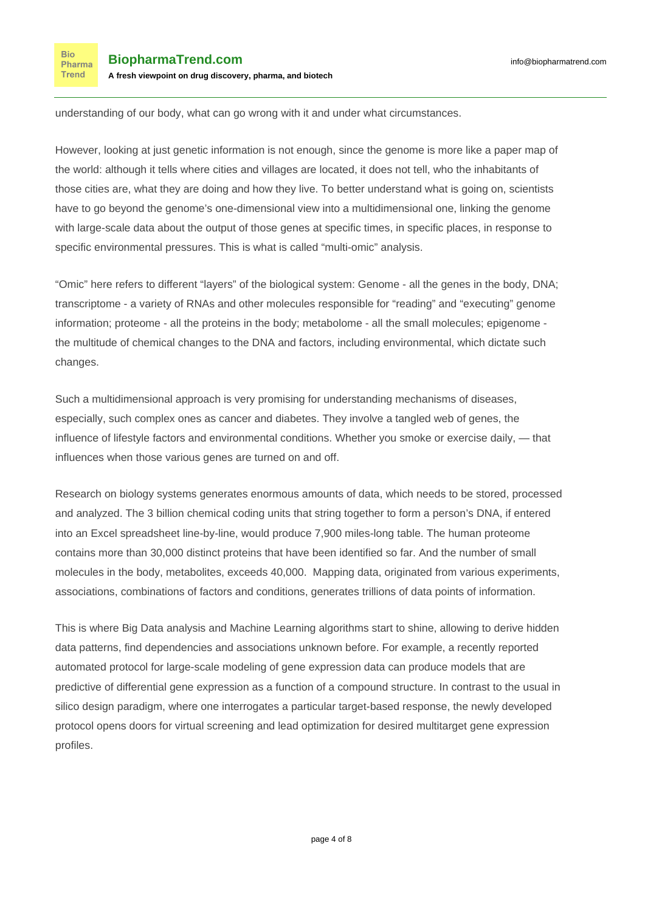understanding of our body, what can go wrong with it and under what circumstances.

However, looking at just genetic information is not enough, since the genome is more like a paper map of the world: although it tells where cities and villages are located, it does not tell, who the inhabitants of those cities are, what they are doing and how they live. To better understand what is going on, scientists have to go beyond the genome's one-dimensional view into a multidimensional one, [linking the genome](http://www.cell.com/trends/biotechnology/abstract/S0167-7799(15)00273-5) [with large-scale data](http://www.cell.com/trends/biotechnology/abstract/S0167-7799(15)00273-5) about the output of those genes at specific times, in specific places, in response to specific environmental pressures. This is what is called ["multi-omic" analysis.](http://www.cell.com/trends/biotechnology/abstract/S0167-7799(15)00273-5)

"Omic" here refers to different "layers" of the biological system: Genome - all the genes in the body, DNA; transcriptome - a variety of RNAs and other molecules responsible for "reading" and "executing" genome information; proteome - all the proteins in the body; metabolome - all the small molecules; epigenome the multitude of chemical changes to the DNA and factors, including environmental, which dictate such changes.

Such a multidimensional approach is very promising for understanding mechanisms of diseases, especially, such complex ones as cancer and diabetes. They involve a tangled web of genes, the influence of lifestyle factors and environmental conditions. Whether you smoke or exercise daily, — that influences when those various genes are turned on and off.

Research on biology systems generates enormous amounts of data, which needs to be stored, processed and analyzed. The [3 billion chemical coding units](https://www.genome.gov/11006943/) that string together to form a person's DNA, if entered into an Excel spreadsheet line-by-line, would produce 7,900 miles-long table. The human proteome contains more than [30,000 distinct proteins](http://www.humanproteomemap.org/) that have been identified so far. And the number of small molecules in the body, metabolites, exceeds [40,000.](http://www.hmdb.ca/) Mapping data, originated from various experiments, associations, combinations of factors and conditions, generates trillions of data points of information.

This is where Big Data analysis and Machine Learning algorithms start to shine, allowing to derive hidden data patterns, find dependencies and associations unknown before. For example, a [recently reported](https://figshare.com/collections/Automated_Protocol_for_Large-Scale_Modeling_of_Gene_Expression_Data/3573297) automated protocol for large-scale modeling of gene expression data can produce models that are predictive of differential gene expression as a function of a compound structure. In contrast to the usual in silico design paradigm, where one interrogates a particular target-based response, the newly developed protocol opens doors for virtual screening and lead optimization for desired multitarget gene expression profiles.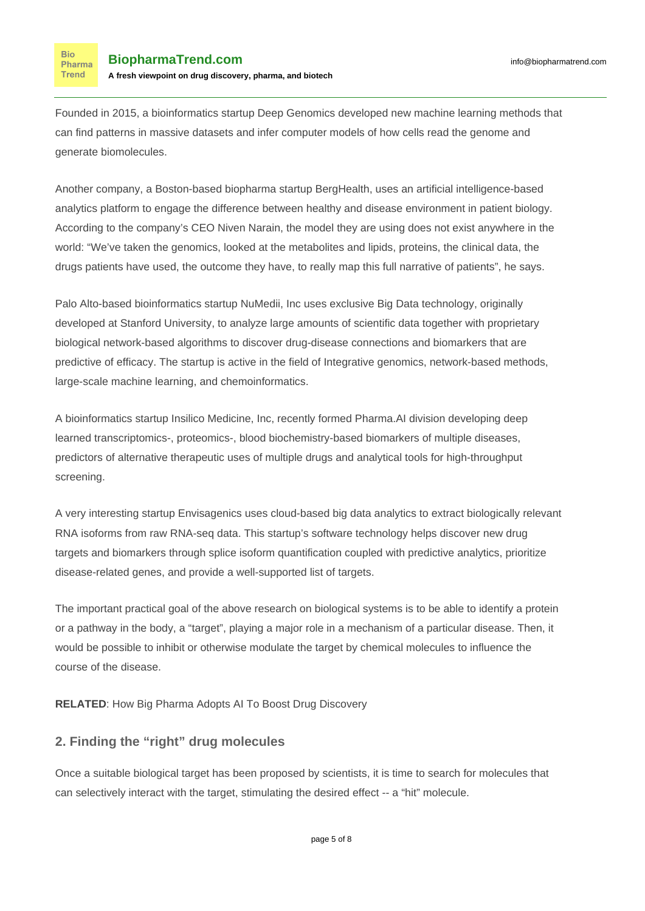Founded in 2015, a bioinformatics startup [Deep Genomics](http://www.deepgenomics.com/) developed new machine learning methods that can find patterns in massive datasets and infer computer models of how cells read the genome and generate biomolecules.

Another company, a Boston-based biopharma startup [BergHealth](http://berghealth.com/), uses an artificial intelligence-based analytics platform to engage the difference between healthy and disease environment in patient biology. According to the company's CEO Niven Narain, the model they are using does not exist anywhere in the world: "We've taken the genomics, looked at the metabolites and lipids, proteins, the clinical data, the drugs patients have used, the outcome they have, to really map this full narrative of patients", he says.

Palo Alto-based bioinformatics startup [NuMedii, Inc](http://numedii.com/) uses exclusive Big Data technology, originally developed at Stanford University, to analyze large amounts of scientific data together with proprietary biological network-based algorithms to discover drug-disease connections and biomarkers that are predictive of efficacy. The startup is active in the field of Integrative genomics, network-based methods, large-scale machine learning, and chemoinformatics.

A bioinformatics startup Insilico Medicine, Inc, [recently formed](https://www.eurekalert.org/pub_releases/2016-03/imi-plt031516.php) Pharma.AI division developing deep learned transcriptomics-, proteomics-, blood biochemistry-based biomarkers of multiple diseases, predictors of alternative therapeutic uses of multiple drugs and analytical tools for high-throughput screening.

A very interesting startup [Envisagenics](http://www.envisagenics.com/) uses cloud-based big data analytics to extract biologically relevant RNA isoforms from raw RNA-seq data. This startup's software technology helps discover new drug targets and biomarkers through splice isoform quantification coupled with predictive analytics, prioritize disease-related genes, and provide a well-supported list of targets.

The important practical goal of the above research on biological systems is to be able to identify a protein or a pathway in the body, a "target", playing a major role in a mechanism of a particular disease. Then, it would be possible to inhibit or otherwise modulate the target by chemical molecules to influence the course of the disease.

**RELATED**: [How Big Pharma Adopts AI To Boost Drug Discovery](https://www.biopharmatrend.com/post/34-biopharmas-hunt-for-artificial-intelligence-who-does-what/)

#### **2. Finding the "right" drug molecules**

Once a suitable biological target has been proposed by scientists, it is time to search for molecules that can selectively interact with the target, stimulating the desired effect -- a "hit" molecule.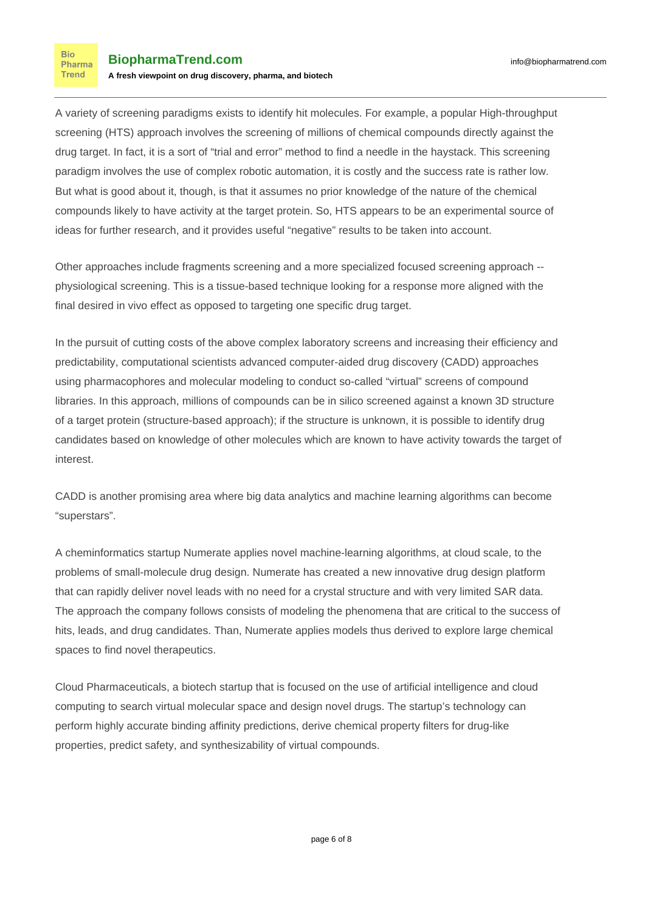A variety of screening paradigms exists to identify hit molecules. For example, a popular High-throughput screening (HTS) approach involves the screening of millions of chemical compounds directly against the drug target. In fact, it is a sort of "trial and error" method to find a needle in the haystack. This screening paradigm involves the use of complex robotic automation, it is costly and the success rate is rather low. But what is good about it, though, is that it assumes no prior knowledge of the nature of the chemical compounds likely to have activity at the target protein. So, HTS appears to be an experimental source of ideas for further research, and it provides useful "negative" results to be taken into account.

Other approaches include fragments screening and a more specialized focused screening approach - physiological screening. This is a tissue-based technique looking for a response more aligned with the final desired in vivo effect as opposed to targeting one specific drug target.

In the pursuit of cutting costs of the above complex laboratory screens and increasing their efficiency and predictability, computational scientists advanced computer-aided drug discovery (CADD) approaches using pharmacophores and molecular modeling to conduct so-called "virtual" screens of compound libraries. In this approach, millions of compounds can be in silico screened against a known 3D structure of a target protein (structure-based approach); if the structure is unknown, it is possible to identify drug candidates based on knowledge of other molecules which are known to have activity towards the target of interest.

CADD is another promising area where big data analytics and machine learning algorithms can become "superstars".

A cheminformatics startup [Numerate](http://www.numerate.com/company/) applies novel machine-learning algorithms, at cloud scale, to the problems of small-molecule drug design. Numerate has created a new innovative drug design platform that can rapidly deliver novel leads with no need for a crystal structure and with very limited SAR data. The approach the company follows consists of [modeling the phenomena](http://www.numerate.com/approach/#modeling) that are critical to the success of hits, leads, and drug candidates. Than, Numerate applies models thus derived to explore large chemical spaces to find novel therapeutics.

[Cloud Pharmaceuticals,](http://www.cloudpharmaceuticals.com/) a biotech startup that is focused on the use of artificial intelligence and cloud computing to search virtual molecular space and design novel drugs. The startup's technology can perform highly accurate binding affinity predictions, derive chemical property filters for drug-like properties, predict safety, and synthesizability of virtual compounds.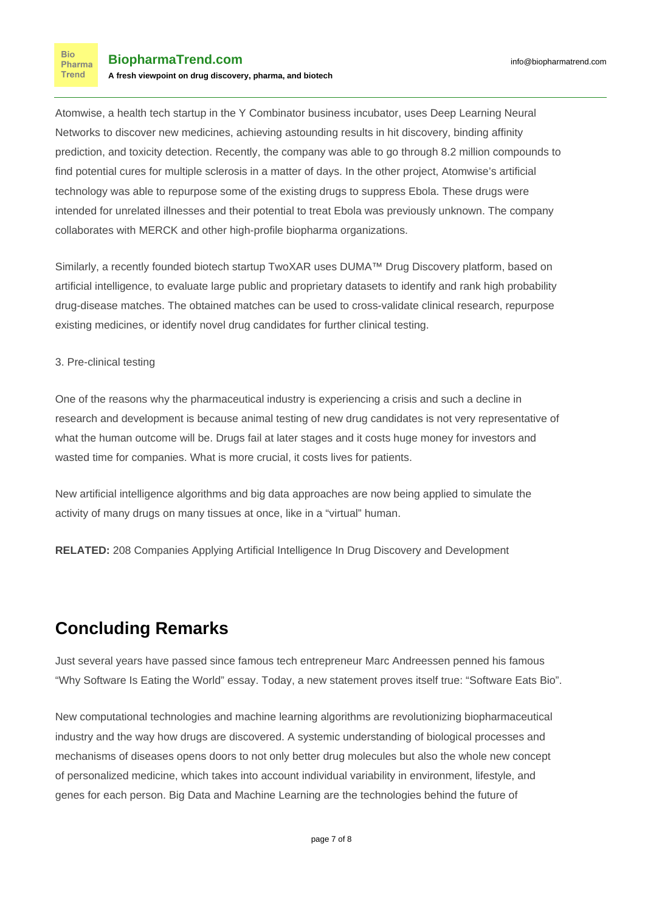[Atomwise](https://www.atomwise.com/), a health tech startup in the Y Combinator business incubator, uses Deep Learning Neural Networks to discover new medicines, achieving astounding results in hit discovery, binding affinity prediction, and toxicity detection. Recently, the company was able to go through 8.2 million compounds to find potential cures for multiple sclerosis in a matter of days. In the other project, Atomwise's artificial technology was able to repurpose some of the existing drugs to suppress Ebola. These drugs were intended for unrelated illnesses and their potential to treat Ebola was previously unknown. The company collaborates with MERCK and other high-profile biopharma organizations.

Similarly, a recently founded biotech startup [TwoXAR](http://www.twoxar.com/) uses DUMA™ Drug Discovery platform, based on artificial intelligence, to evaluate large public and proprietary datasets to identify and rank high probability drug-disease matches. The obtained matches can be used to cross-validate clinical research, repurpose existing medicines, or identify novel drug candidates for further clinical testing.

#### 3. Pre-clinical testing

One of the reasons why the pharmaceutical industry is experiencing a crisis and such a decline in research and development is because animal testing of new drug candidates is not very representative of what the human outcome will be. Drugs fail at later stages and it costs huge money for investors and wasted time for companies. What is more crucial, it costs lives for patients.

New artificial intelligence algorithms and big data approaches [are now being applied](http://www.caareusa.org/using_artificial_intelligence_to_develop_and_test_new_drugs) to simulate the activity of many drugs on many tissues at once, like in a "virtual" human.

**RELATED:** [208 Companies Applying Artificial Intelligence In Drug Discovery and Development](https://www.biopharmatrend.com/m/companies/ai/)

### **Concluding Remarks**

Just several years have passed since famous tech entrepreneur Marc Andreessen penned his famous ["Why Software Is Eating the World"](http://www.wsj.com/articles/SB10001424053111903480904576512250915629460) essay. Today, a new statement proves itself true: ["Software Eats Bio"](http://a16z.com/2015/11/18/bio-fund/).

New computational technologies and machine learning algorithms are revolutionizing biopharmaceutical industry and the way how drugs are discovered. A systemic understanding of biological processes and mechanisms of diseases opens doors to not only better drug molecules but also the whole new concept of personalized medicine, which takes into account individual variability in environment, lifestyle, and genes for each person. Big Data and Machine Learning are the technologies behind the future of